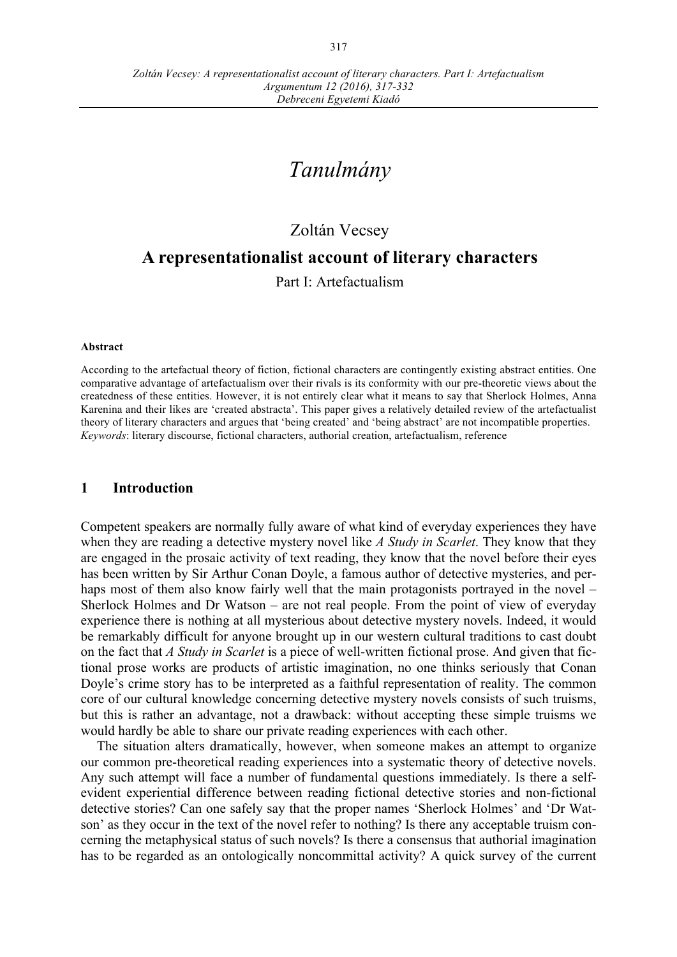# *Tanulmány*

# Zoltán Vecsey

# **A representationalist account of literary characters**

Part I: Artefactualism

#### **Abstract**

According to the artefactual theory of fiction, fictional characters are contingently existing abstract entities. One comparative advantage of artefactualism over their rivals is its conformity with our pre-theoretic views about the createdness of these entities. However, it is not entirely clear what it means to say that Sherlock Holmes, Anna Karenina and their likes are ʻcreated abstracta'. This paper gives a relatively detailed review of the artefactualist theory of literary characters and argues that ʻbeing created' and ʻbeing abstract' are not incompatible properties. *Keywords*: literary discourse, fictional characters, authorial creation, artefactualism, reference

#### **1 Introduction**

Competent speakers are normally fully aware of what kind of everyday experiences they have when they are reading a detective mystery novel like *A Study in Scarlet*. They know that they are engaged in the prosaic activity of text reading, they know that the novel before their eyes has been written by Sir Arthur Conan Doyle, a famous author of detective mysteries, and perhaps most of them also know fairly well that the main protagonists portrayed in the novel – Sherlock Holmes and Dr Watson – are not real people. From the point of view of everyday experience there is nothing at all mysterious about detective mystery novels. Indeed, it would be remarkably difficult for anyone brought up in our western cultural traditions to cast doubt on the fact that *A Study in Scarlet* is a piece of well-written fictional prose. And given that fictional prose works are products of artistic imagination, no one thinks seriously that Conan Doyle's crime story has to be interpreted as a faithful representation of reality. The common core of our cultural knowledge concerning detective mystery novels consists of such truisms, but this is rather an advantage, not a drawback: without accepting these simple truisms we would hardly be able to share our private reading experiences with each other.

The situation alters dramatically, however, when someone makes an attempt to organize our common pre-theoretical reading experiences into a systematic theory of detective novels. Any such attempt will face a number of fundamental questions immediately. Is there a selfevident experiential difference between reading fictional detective stories and non-fictional detective stories? Can one safely say that the proper names 'Sherlock Holmes' and 'Dr Watson' as they occur in the text of the novel refer to nothing? Is there any acceptable truism concerning the metaphysical status of such novels? Is there a consensus that authorial imagination has to be regarded as an ontologically noncommittal activity? A quick survey of the current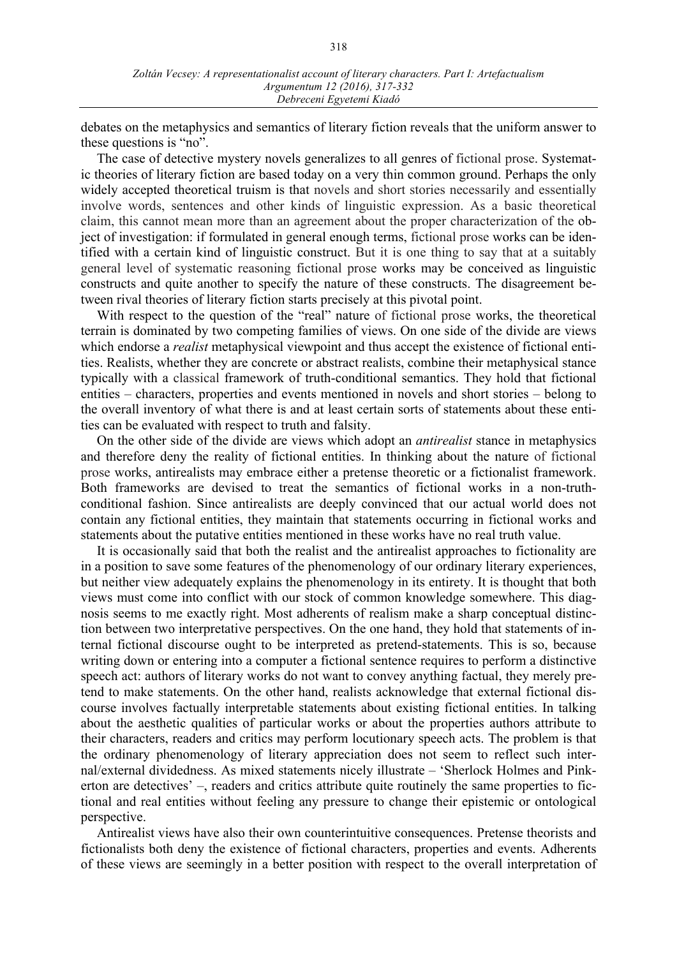debates on the metaphysics and semantics of literary fiction reveals that the uniform answer to these questions is "no".

The case of detective mystery novels generalizes to all genres of fictional prose. Systematic theories of literary fiction are based today on a very thin common ground. Perhaps the only widely accepted theoretical truism is that novels and short stories necessarily and essentially involve words, sentences and other kinds of linguistic expression. As a basic theoretical claim, this cannot mean more than an agreement about the proper characterization of the object of investigation: if formulated in general enough terms, fictional prose works can be identified with a certain kind of linguistic construct. But it is one thing to say that at a suitably general level of systematic reasoning fictional prose works may be conceived as linguistic constructs and quite another to specify the nature of these constructs. The disagreement between rival theories of literary fiction starts precisely at this pivotal point.

With respect to the question of the "real" nature of fictional prose works, the theoretical terrain is dominated by two competing families of views. On one side of the divide are views which endorse a *realist* metaphysical viewpoint and thus accept the existence of fictional entities. Realists, whether they are concrete or abstract realists, combine their metaphysical stance typically with a classical framework of truth-conditional semantics. They hold that fictional entities – characters, properties and events mentioned in novels and short stories – belong to the overall inventory of what there is and at least certain sorts of statements about these entities can be evaluated with respect to truth and falsity.

On the other side of the divide are views which adopt an *antirealist* stance in metaphysics and therefore deny the reality of fictional entities. In thinking about the nature of fictional prose works, antirealists may embrace either a pretense theoretic or a fictionalist framework. Both frameworks are devised to treat the semantics of fictional works in a non-truthconditional fashion. Since antirealists are deeply convinced that our actual world does not contain any fictional entities, they maintain that statements occurring in fictional works and statements about the putative entities mentioned in these works have no real truth value.

It is occasionally said that both the realist and the antirealist approaches to fictionality are in a position to save some features of the phenomenology of our ordinary literary experiences, but neither view adequately explains the phenomenology in its entirety. It is thought that both views must come into conflict with our stock of common knowledge somewhere. This diagnosis seems to me exactly right. Most adherents of realism make a sharp conceptual distinction between two interpretative perspectives. On the one hand, they hold that statements of internal fictional discourse ought to be interpreted as pretend-statements. This is so, because writing down or entering into a computer a fictional sentence requires to perform a distinctive speech act: authors of literary works do not want to convey anything factual, they merely pretend to make statements. On the other hand, realists acknowledge that external fictional discourse involves factually interpretable statements about existing fictional entities. In talking about the aesthetic qualities of particular works or about the properties authors attribute to their characters, readers and critics may perform locutionary speech acts. The problem is that the ordinary phenomenology of literary appreciation does not seem to reflect such internal/external dividedness. As mixed statements nicely illustrate – ʻSherlock Holmes and Pinkerton are detectives' –, readers and critics attribute quite routinely the same properties to fictional and real entities without feeling any pressure to change their epistemic or ontological perspective.

Antirealist views have also their own counterintuitive consequences. Pretense theorists and fictionalists both deny the existence of fictional characters, properties and events. Adherents of these views are seemingly in a better position with respect to the overall interpretation of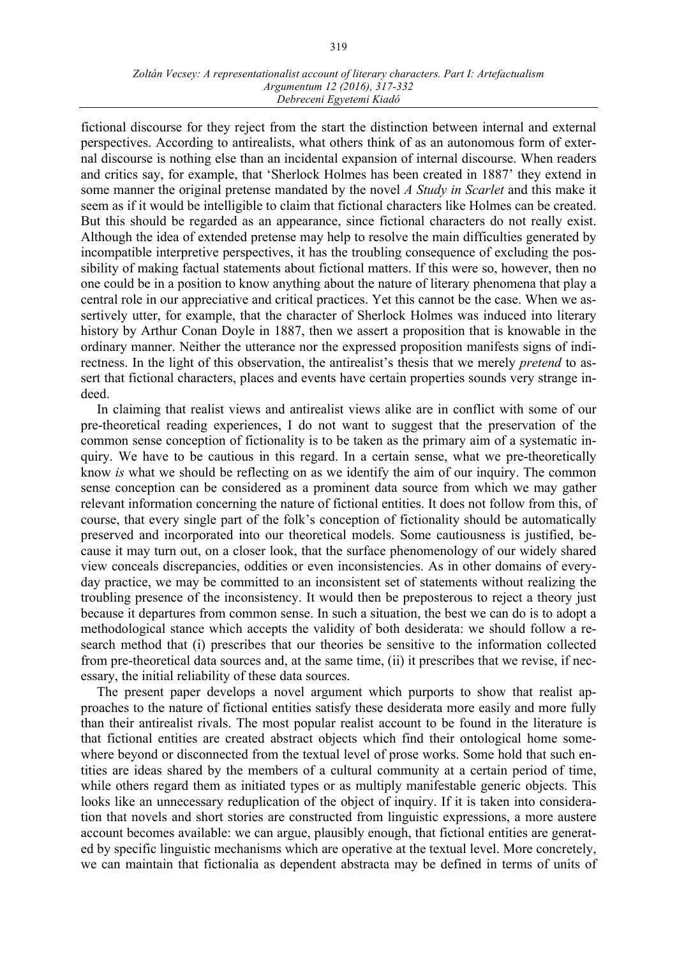fictional discourse for they reject from the start the distinction between internal and external perspectives. According to antirealists, what others think of as an autonomous form of external discourse is nothing else than an incidental expansion of internal discourse. When readers and critics say, for example, that ʻSherlock Holmes has been created in 1887' they extend in some manner the original pretense mandated by the novel *A Study in Scarlet* and this make it seem as if it would be intelligible to claim that fictional characters like Holmes can be created. But this should be regarded as an appearance, since fictional characters do not really exist. Although the idea of extended pretense may help to resolve the main difficulties generated by incompatible interpretive perspectives, it has the troubling consequence of excluding the possibility of making factual statements about fictional matters. If this were so, however, then no one could be in a position to know anything about the nature of literary phenomena that play a central role in our appreciative and critical practices. Yet this cannot be the case. When we assertively utter, for example, that the character of Sherlock Holmes was induced into literary history by Arthur Conan Doyle in 1887, then we assert a proposition that is knowable in the ordinary manner. Neither the utterance nor the expressed proposition manifests signs of indirectness. In the light of this observation, the antirealist's thesis that we merely *pretend* to assert that fictional characters, places and events have certain properties sounds very strange indeed.

In claiming that realist views and antirealist views alike are in conflict with some of our pre-theoretical reading experiences, I do not want to suggest that the preservation of the common sense conception of fictionality is to be taken as the primary aim of a systematic inquiry. We have to be cautious in this regard. In a certain sense, what we pre-theoretically know *is* what we should be reflecting on as we identify the aim of our inquiry. The common sense conception can be considered as a prominent data source from which we may gather relevant information concerning the nature of fictional entities. It does not follow from this, of course, that every single part of the folk's conception of fictionality should be automatically preserved and incorporated into our theoretical models. Some cautiousness is justified, because it may turn out, on a closer look, that the surface phenomenology of our widely shared view conceals discrepancies, oddities or even inconsistencies. As in other domains of everyday practice, we may be committed to an inconsistent set of statements without realizing the troubling presence of the inconsistency. It would then be preposterous to reject a theory just because it departures from common sense. In such a situation, the best we can do is to adopt a methodological stance which accepts the validity of both desiderata: we should follow a research method that (i) prescribes that our theories be sensitive to the information collected from pre-theoretical data sources and, at the same time, (ii) it prescribes that we revise, if necessary, the initial reliability of these data sources.

The present paper develops a novel argument which purports to show that realist approaches to the nature of fictional entities satisfy these desiderata more easily and more fully than their antirealist rivals. The most popular realist account to be found in the literature is that fictional entities are created abstract objects which find their ontological home somewhere beyond or disconnected from the textual level of prose works. Some hold that such entities are ideas shared by the members of a cultural community at a certain period of time, while others regard them as initiated types or as multiply manifestable generic objects. This looks like an unnecessary reduplication of the object of inquiry. If it is taken into consideration that novels and short stories are constructed from linguistic expressions, a more austere account becomes available: we can argue, plausibly enough, that fictional entities are generated by specific linguistic mechanisms which are operative at the textual level. More concretely, we can maintain that fictionalia as dependent abstracta may be defined in terms of units of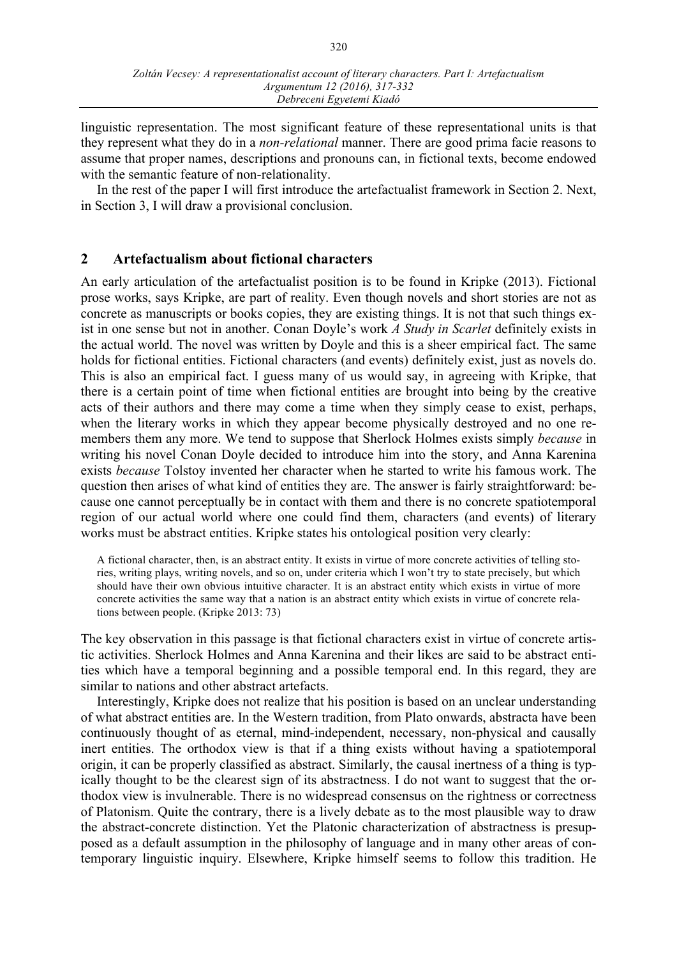linguistic representation. The most significant feature of these representational units is that they represent what they do in a *non-relational* manner. There are good prima facie reasons to assume that proper names, descriptions and pronouns can, in fictional texts, become endowed with the semantic feature of non-relationality.

In the rest of the paper I will first introduce the artefactualist framework in Section 2. Next, in Section 3, I will draw a provisional conclusion.

## **2 Artefactualism about fictional characters**

An early articulation of the artefactualist position is to be found in Kripke (2013). Fictional prose works, says Kripke, are part of reality. Even though novels and short stories are not as concrete as manuscripts or books copies, they are existing things. It is not that such things exist in one sense but not in another. Conan Doyle's work *A Study in Scarlet* definitely exists in the actual world. The novel was written by Doyle and this is a sheer empirical fact. The same holds for fictional entities. Fictional characters (and events) definitely exist, just as novels do. This is also an empirical fact. I guess many of us would say, in agreeing with Kripke, that there is a certain point of time when fictional entities are brought into being by the creative acts of their authors and there may come a time when they simply cease to exist, perhaps, when the literary works in which they appear become physically destroyed and no one remembers them any more. We tend to suppose that Sherlock Holmes exists simply *because* in writing his novel Conan Doyle decided to introduce him into the story, and Anna Karenina exists *because* Tolstoy invented her character when he started to write his famous work. The question then arises of what kind of entities they are. The answer is fairly straightforward: because one cannot perceptually be in contact with them and there is no concrete spatiotemporal region of our actual world where one could find them, characters (and events) of literary works must be abstract entities. Kripke states his ontological position very clearly:

A fictional character, then, is an abstract entity. It exists in virtue of more concrete activities of telling stories, writing plays, writing novels, and so on, under criteria which I won't try to state precisely, but which should have their own obvious intuitive character. It is an abstract entity which exists in virtue of more concrete activities the same way that a nation is an abstract entity which exists in virtue of concrete relations between people. (Kripke 2013: 73)

The key observation in this passage is that fictional characters exist in virtue of concrete artistic activities. Sherlock Holmes and Anna Karenina and their likes are said to be abstract entities which have a temporal beginning and a possible temporal end. In this regard, they are similar to nations and other abstract artefacts.

Interestingly, Kripke does not realize that his position is based on an unclear understanding of what abstract entities are. In the Western tradition, from Plato onwards, abstracta have been continuously thought of as eternal, mind-independent, necessary, non-physical and causally inert entities. The orthodox view is that if a thing exists without having a spatiotemporal origin, it can be properly classified as abstract. Similarly, the causal inertness of a thing is typically thought to be the clearest sign of its abstractness. I do not want to suggest that the orthodox view is invulnerable. There is no widespread consensus on the rightness or correctness of Platonism. Quite the contrary, there is a lively debate as to the most plausible way to draw the abstract-concrete distinction. Yet the Platonic characterization of abstractness is presupposed as a default assumption in the philosophy of language and in many other areas of contemporary linguistic inquiry. Elsewhere, Kripke himself seems to follow this tradition. He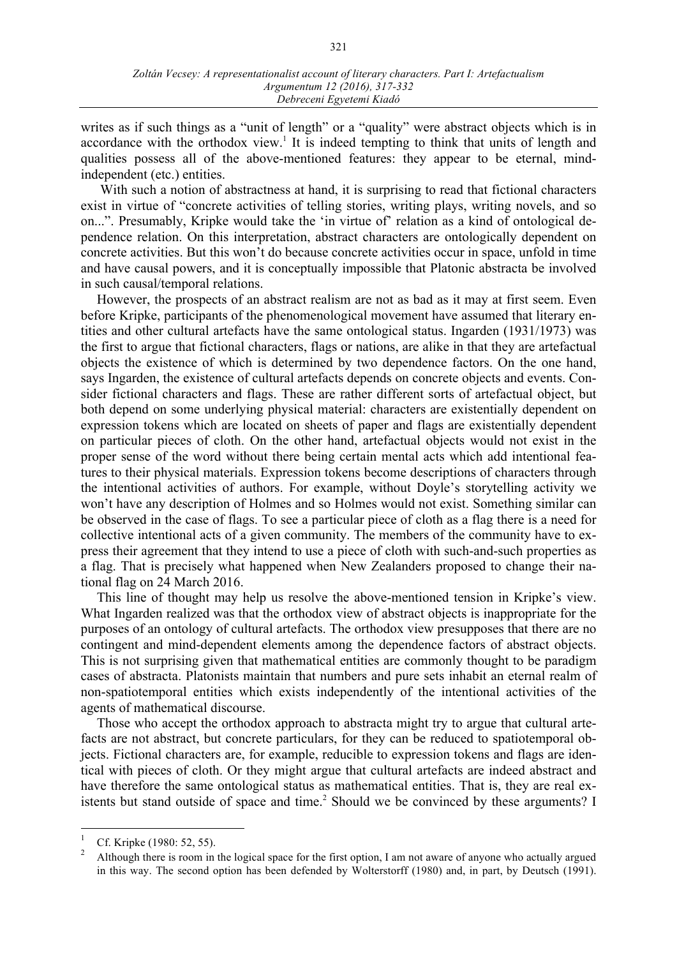writes as if such things as a "unit of length" or a "quality" were abstract objects which is in accordance with the orthodox view.<sup>1</sup> It is indeed tempting to think that units of length and qualities possess all of the above-mentioned features: they appear to be eternal, mindindependent (etc.) entities.

With such a notion of abstractness at hand, it is surprising to read that fictional characters exist in virtue of "concrete activities of telling stories, writing plays, writing novels, and so on...". Presumably, Kripke would take the ʻin virtue of' relation as a kind of ontological dependence relation. On this interpretation, abstract characters are ontologically dependent on concrete activities. But this won't do because concrete activities occur in space, unfold in time and have causal powers, and it is conceptually impossible that Platonic abstracta be involved in such causal/temporal relations.

However, the prospects of an abstract realism are not as bad as it may at first seem. Even before Kripke, participants of the phenomenological movement have assumed that literary entities and other cultural artefacts have the same ontological status. Ingarden (1931/1973) was the first to argue that fictional characters, flags or nations, are alike in that they are artefactual objects the existence of which is determined by two dependence factors. On the one hand, says Ingarden, the existence of cultural artefacts depends on concrete objects and events. Consider fictional characters and flags. These are rather different sorts of artefactual object, but both depend on some underlying physical material: characters are existentially dependent on expression tokens which are located on sheets of paper and flags are existentially dependent on particular pieces of cloth. On the other hand, artefactual objects would not exist in the proper sense of the word without there being certain mental acts which add intentional features to their physical materials. Expression tokens become descriptions of characters through the intentional activities of authors. For example, without Doyle's storytelling activity we won't have any description of Holmes and so Holmes would not exist. Something similar can be observed in the case of flags. To see a particular piece of cloth as a flag there is a need for collective intentional acts of a given community. The members of the community have to express their agreement that they intend to use a piece of cloth with such-and-such properties as a flag. That is precisely what happened when New Zealanders proposed to change their national flag on 24 March 2016.

This line of thought may help us resolve the above-mentioned tension in Kripke's view. What Ingarden realized was that the orthodox view of abstract objects is inappropriate for the purposes of an ontology of cultural artefacts. The orthodox view presupposes that there are no contingent and mind-dependent elements among the dependence factors of abstract objects. This is not surprising given that mathematical entities are commonly thought to be paradigm cases of abstracta. Platonists maintain that numbers and pure sets inhabit an eternal realm of non-spatiotemporal entities which exists independently of the intentional activities of the agents of mathematical discourse.

Those who accept the orthodox approach to abstracta might try to argue that cultural artefacts are not abstract, but concrete particulars, for they can be reduced to spatiotemporal objects. Fictional characters are, for example, reducible to expression tokens and flags are identical with pieces of cloth. Or they might argue that cultural artefacts are indeed abstract and have therefore the same ontological status as mathematical entities. That is, they are real existents but stand outside of space and time.<sup>2</sup> Should we be convinced by these arguments? I

Cf. Kripke (1980: 52, 55).

<sup>2</sup> Although there is room in the logical space for the first option, I am not aware of anyone who actually argued in this way. The second option has been defended by Wolterstorff (1980) and, in part, by Deutsch (1991).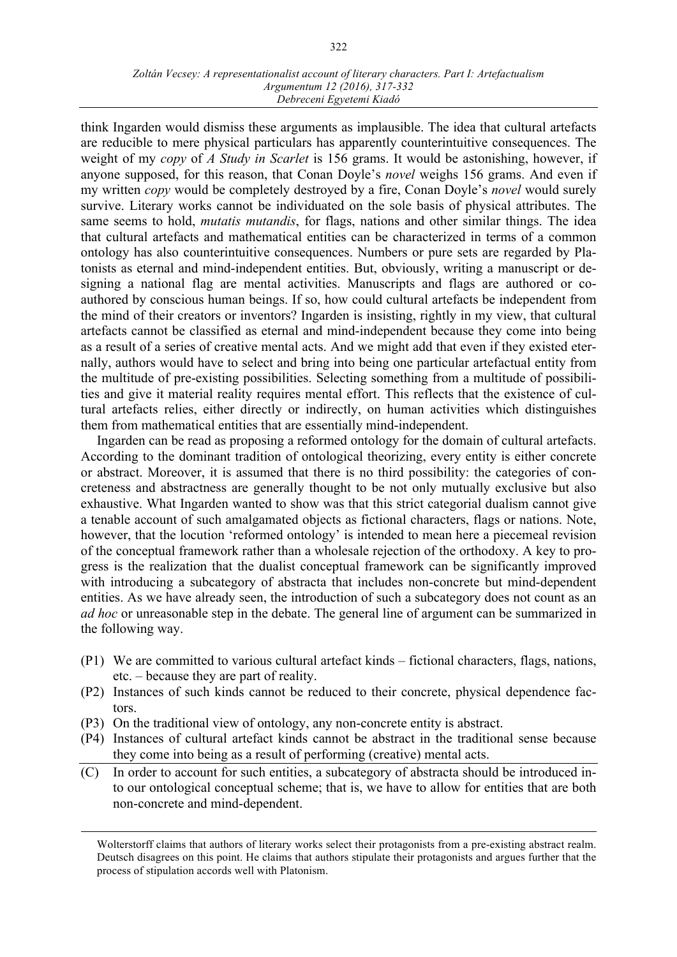think Ingarden would dismiss these arguments as implausible. The idea that cultural artefacts are reducible to mere physical particulars has apparently counterintuitive consequences. The weight of my *copy* of *A Study in Scarlet* is 156 grams. It would be astonishing, however, if anyone supposed, for this reason, that Conan Doyle's *novel* weighs 156 grams. And even if my written *copy* would be completely destroyed by a fire, Conan Doyle's *novel* would surely survive. Literary works cannot be individuated on the sole basis of physical attributes. The same seems to hold, *mutatis mutandis*, for flags, nations and other similar things. The idea that cultural artefacts and mathematical entities can be characterized in terms of a common ontology has also counterintuitive consequences. Numbers or pure sets are regarded by Platonists as eternal and mind-independent entities. But, obviously, writing a manuscript or designing a national flag are mental activities. Manuscripts and flags are authored or coauthored by conscious human beings. If so, how could cultural artefacts be independent from the mind of their creators or inventors? Ingarden is insisting, rightly in my view, that cultural artefacts cannot be classified as eternal and mind-independent because they come into being as a result of a series of creative mental acts. And we might add that even if they existed eternally, authors would have to select and bring into being one particular artefactual entity from the multitude of pre-existing possibilities. Selecting something from a multitude of possibilities and give it material reality requires mental effort. This reflects that the existence of cultural artefacts relies, either directly or indirectly, on human activities which distinguishes them from mathematical entities that are essentially mind-independent.

Ingarden can be read as proposing a reformed ontology for the domain of cultural artefacts. According to the dominant tradition of ontological theorizing, every entity is either concrete or abstract. Moreover, it is assumed that there is no third possibility: the categories of concreteness and abstractness are generally thought to be not only mutually exclusive but also exhaustive. What Ingarden wanted to show was that this strict categorial dualism cannot give a tenable account of such amalgamated objects as fictional characters, flags or nations. Note, however, that the locution ʻreformed ontology' is intended to mean here a piecemeal revision of the conceptual framework rather than a wholesale rejection of the orthodoxy. A key to progress is the realization that the dualist conceptual framework can be significantly improved with introducing a subcategory of abstracta that includes non-concrete but mind-dependent entities. As we have already seen, the introduction of such a subcategory does not count as an *ad hoc* or unreasonable step in the debate. The general line of argument can be summarized in the following way.

- (P1) We are committed to various cultural artefact kinds fictional characters, flags, nations, etc. – because they are part of reality.
- (P2) Instances of such kinds cannot be reduced to their concrete, physical dependence factors.
- (P3) On the traditional view of ontology, any non-concrete entity is abstract.
- (P4) Instances of cultural artefact kinds cannot be abstract in the traditional sense because they come into being as a result of performing (creative) mental acts.
- (C) In order to account for such entities, a subcategory of abstracta should be introduced into our ontological conceptual scheme; that is, we have to allow for entities that are both non-concrete and mind-dependent.

Wolterstorff claims that authors of literary works select their protagonists from a pre-existing abstract realm. Deutsch disagrees on this point. He claims that authors stipulate their protagonists and argues further that the process of stipulation accords well with Platonism.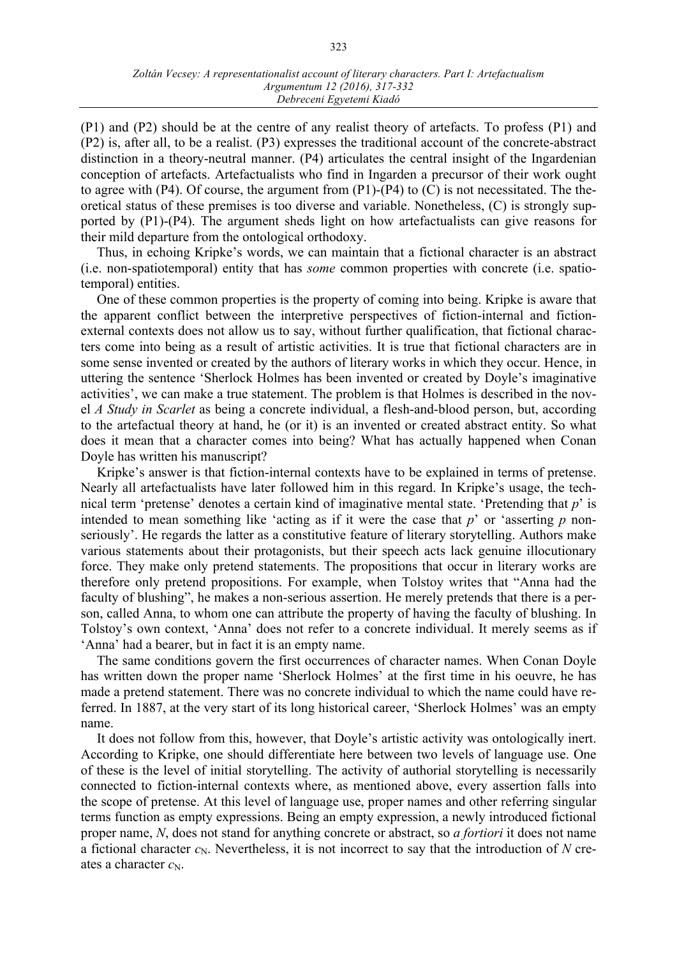(P1) and (P2) should be at the centre of any realist theory of artefacts. To profess (P1) and (P2) is, after all, to be a realist. (P3) expresses the traditional account of the concrete-abstract distinction in a theory-neutral manner. (P4) articulates the central insight of the Ingardenian conception of artefacts. Artefactualists who find in Ingarden a precursor of their work ought to agree with  $(P4)$ . Of course, the argument from  $(P1)$ - $(P4)$  to  $(C)$  is not necessitated. The theoretical status of these premises is too diverse and variable. Nonetheless, (C) is strongly supported by (P1)-(P4). The argument sheds light on how artefactualists can give reasons for their mild departure from the ontological orthodoxy.

Thus, in echoing Kripke's words, we can maintain that a fictional character is an abstract (i.e. non-spatiotemporal) entity that has *some* common properties with concrete (i.e. spatiotemporal) entities.

One of these common properties is the property of coming into being. Kripke is aware that the apparent conflict between the interpretive perspectives of fiction-internal and fictionexternal contexts does not allow us to say, without further qualification, that fictional characters come into being as a result of artistic activities. It is true that fictional characters are in some sense invented or created by the authors of literary works in which they occur. Hence, in uttering the sentence 'Sherlock Holmes has been invented or created by Doyle's imaginative activities', we can make a true statement. The problem is that Holmes is described in the novel *A Study in Scarlet* as being a concrete individual, a flesh-and-blood person, but, according to the artefactual theory at hand, he (or it) is an invented or created abstract entity. So what does it mean that a character comes into being? What has actually happened when Conan Doyle has written his manuscript?

Kripke's answer is that fiction-internal contexts have to be explained in terms of pretense. Nearly all artefactualists have later followed him in this regard. In Kripke's usage, the technical term ʻpretense' denotes a certain kind of imaginative mental state. ʻPretending that *p*' is intended to mean something like 'acting as if it were the case that  $p$ ' or 'asserting  $p$  nonseriously'. He regards the latter as a constitutive feature of literary storytelling. Authors make various statements about their protagonists, but their speech acts lack genuine illocutionary force. They make only pretend statements. The propositions that occur in literary works are therefore only pretend propositions. For example, when Tolstoy writes that "Anna had the faculty of blushing", he makes a non-serious assertion. He merely pretends that there is a person, called Anna, to whom one can attribute the property of having the faculty of blushing. In Tolstoy's own context, ʻAnna' does not refer to a concrete individual. It merely seems as if ʻAnna' had a bearer, but in fact it is an empty name.

The same conditions govern the first occurrences of character names. When Conan Doyle has written down the proper name ʻSherlock Holmes' at the first time in his oeuvre, he has made a pretend statement. There was no concrete individual to which the name could have referred. In 1887, at the very start of its long historical career, ʻSherlock Holmes' was an empty name.

It does not follow from this, however, that Doyle's artistic activity was ontologically inert. According to Kripke, one should differentiate here between two levels of language use. One of these is the level of initial storytelling. The activity of authorial storytelling is necessarily connected to fiction-internal contexts where, as mentioned above, every assertion falls into the scope of pretense. At this level of language use, proper names and other referring singular terms function as empty expressions. Being an empty expression, a newly introduced fictional proper name, *N*, does not stand for anything concrete or abstract, so *a fortiori* it does not name a fictional character  $c_N$ . Nevertheless, it is not incorrect to say that the introduction of N creates a character  $c_N$ .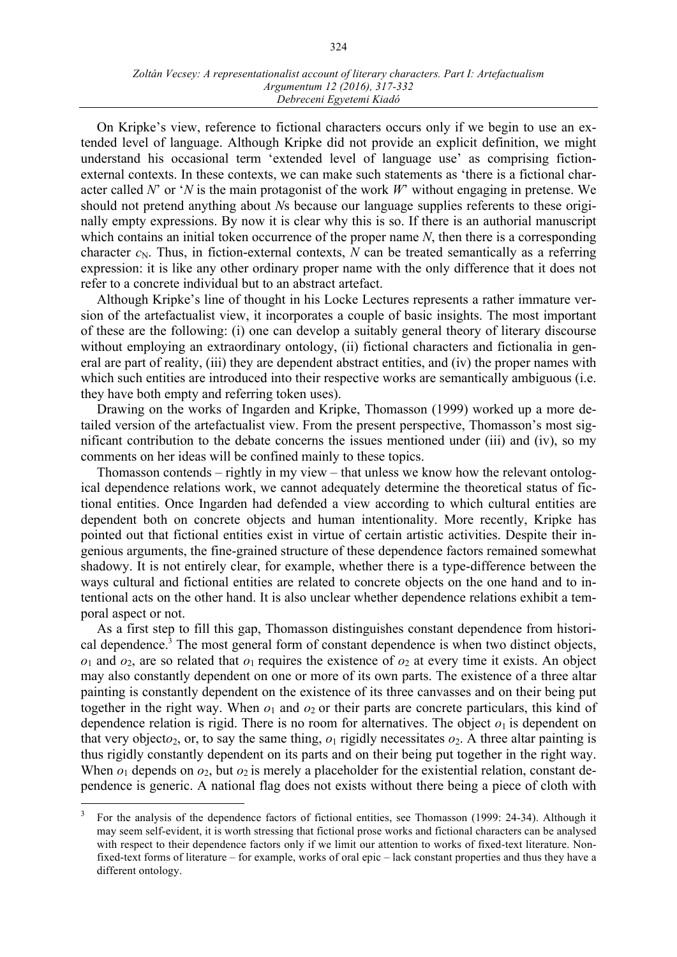On Kripke's view, reference to fictional characters occurs only if we begin to use an extended level of language. Although Kripke did not provide an explicit definition, we might understand his occasional term ʻextended level of language use' as comprising fictionexternal contexts. In these contexts, we can make such statements as ʻthere is a fictional character called *N*' or ʻ*N* is the main protagonist of the work *W*' without engaging in pretense. We should not pretend anything about *N*s because our language supplies referents to these originally empty expressions. By now it is clear why this is so. If there is an authorial manuscript which contains an initial token occurrence of the proper name *N*, then there is a corresponding character  $c_N$ . Thus, in fiction-external contexts, N can be treated semantically as a referring expression: it is like any other ordinary proper name with the only difference that it does not refer to a concrete individual but to an abstract artefact.

Although Kripke's line of thought in his Locke Lectures represents a rather immature version of the artefactualist view, it incorporates a couple of basic insights. The most important of these are the following: (i) one can develop a suitably general theory of literary discourse without employing an extraordinary ontology, (ii) fictional characters and fictionalia in general are part of reality, (iii) they are dependent abstract entities, and (iv) the proper names with which such entities are introduced into their respective works are semantically ambiguous (i.e. they have both empty and referring token uses).

Drawing on the works of Ingarden and Kripke, Thomasson (1999) worked up a more detailed version of the artefactualist view. From the present perspective, Thomasson's most significant contribution to the debate concerns the issues mentioned under (iii) and (iv), so my comments on her ideas will be confined mainly to these topics.

Thomasson contends – rightly in my view – that unless we know how the relevant ontological dependence relations work, we cannot adequately determine the theoretical status of fictional entities. Once Ingarden had defended a view according to which cultural entities are dependent both on concrete objects and human intentionality. More recently, Kripke has pointed out that fictional entities exist in virtue of certain artistic activities. Despite their ingenious arguments, the fine-grained structure of these dependence factors remained somewhat shadowy. It is not entirely clear, for example, whether there is a type-difference between the ways cultural and fictional entities are related to concrete objects on the one hand and to intentional acts on the other hand. It is also unclear whether dependence relations exhibit a temporal aspect or not.

As a first step to fill this gap, Thomasson distinguishes constant dependence from historical dependence.<sup>3</sup> The most general form of constant dependence is when two distinct objects,  $o_1$  and  $o_2$ , are so related that  $o_1$  requires the existence of  $o_2$  at every time it exists. An object may also constantly dependent on one or more of its own parts. The existence of a three altar painting is constantly dependent on the existence of its three canvasses and on their being put together in the right way. When  $o_1$  and  $o_2$  or their parts are concrete particulars, this kind of dependence relation is rigid. There is no room for alternatives. The object  $o_1$  is dependent on that very objecto<sub>2</sub>, or, to say the same thing,  $o_1$  rigidly necessitates  $o_2$ . A three altar painting is thus rigidly constantly dependent on its parts and on their being put together in the right way. When  $o_1$  depends on  $o_2$ , but  $o_2$  is merely a placeholder for the existential relation, constant dependence is generic. A national flag does not exists without there being a piece of cloth with

 <sup>3</sup> For the analysis of the dependence factors of fictional entities, see Thomasson (1999: 24-34). Although it may seem self-evident, it is worth stressing that fictional prose works and fictional characters can be analysed with respect to their dependence factors only if we limit our attention to works of fixed-text literature. Nonfixed-text forms of literature – for example, works of oral epic – lack constant properties and thus they have a different ontology.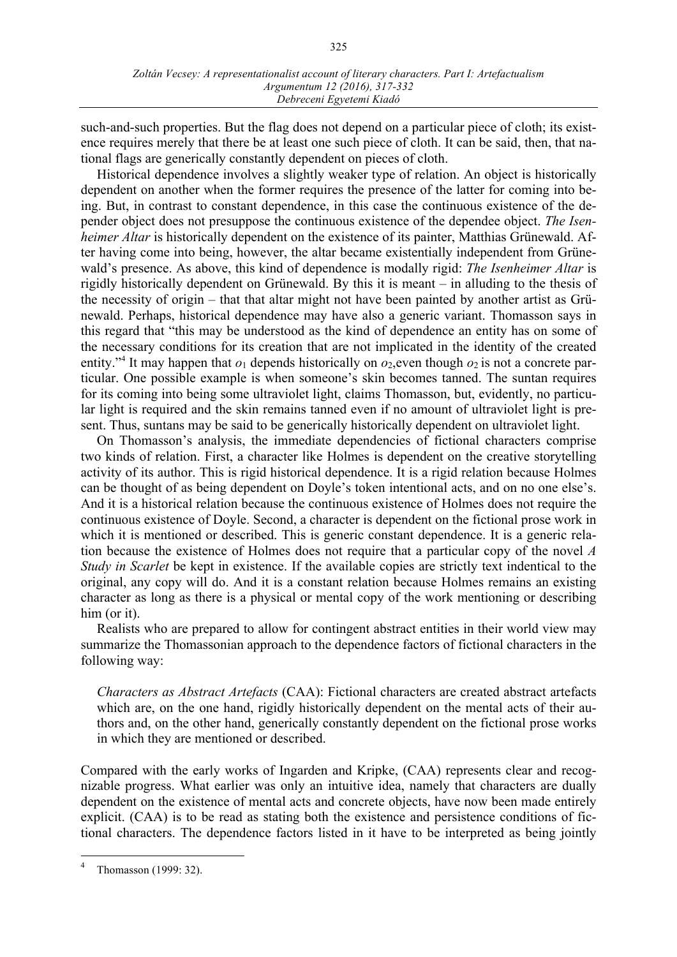such-and-such properties. But the flag does not depend on a particular piece of cloth; its existence requires merely that there be at least one such piece of cloth. It can be said, then, that national flags are generically constantly dependent on pieces of cloth.

Historical dependence involves a slightly weaker type of relation. An object is historically dependent on another when the former requires the presence of the latter for coming into being. But, in contrast to constant dependence, in this case the continuous existence of the depender object does not presuppose the continuous existence of the dependee object. *The Isenheimer Altar* is historically dependent on the existence of its painter, Matthias Grünewald. After having come into being, however, the altar became existentially independent from Grünewald's presence. As above, this kind of dependence is modally rigid: *The Isenheimer Altar* is rigidly historically dependent on Grünewald. By this it is meant – in alluding to the thesis of the necessity of origin – that that altar might not have been painted by another artist as Grünewald. Perhaps, historical dependence may have also a generic variant. Thomasson says in this regard that "this may be understood as the kind of dependence an entity has on some of the necessary conditions for its creation that are not implicated in the identity of the created entity."<sup>4</sup> It may happen that  $o_1$  depends historically on  $o_2$ , even though  $o_2$  is not a concrete particular. One possible example is when someone's skin becomes tanned. The suntan requires for its coming into being some ultraviolet light, claims Thomasson, but, evidently, no particular light is required and the skin remains tanned even if no amount of ultraviolet light is present. Thus, suntans may be said to be generically historically dependent on ultraviolet light.

On Thomasson's analysis, the immediate dependencies of fictional characters comprise two kinds of relation. First, a character like Holmes is dependent on the creative storytelling activity of its author. This is rigid historical dependence. It is a rigid relation because Holmes can be thought of as being dependent on Doyle's token intentional acts, and on no one else's. And it is a historical relation because the continuous existence of Holmes does not require the continuous existence of Doyle. Second, a character is dependent on the fictional prose work in which it is mentioned or described. This is generic constant dependence. It is a generic relation because the existence of Holmes does not require that a particular copy of the novel *A Study in Scarlet* be kept in existence. If the available copies are strictly text indentical to the original, any copy will do. And it is a constant relation because Holmes remains an existing character as long as there is a physical or mental copy of the work mentioning or describing him (or it).

Realists who are prepared to allow for contingent abstract entities in their world view may summarize the Thomassonian approach to the dependence factors of fictional characters in the following way:

*Characters as Abstract Artefacts* (CAA): Fictional characters are created abstract artefacts which are, on the one hand, rigidly historically dependent on the mental acts of their authors and, on the other hand, generically constantly dependent on the fictional prose works in which they are mentioned or described.

Compared with the early works of Ingarden and Kripke, (CAA) represents clear and recognizable progress. What earlier was only an intuitive idea, namely that characters are dually dependent on the existence of mental acts and concrete objects, have now been made entirely explicit. (CAA) is to be read as stating both the existence and persistence conditions of fictional characters. The dependence factors listed in it have to be interpreted as being jointly

 <sup>4</sup> Thomasson (1999: 32).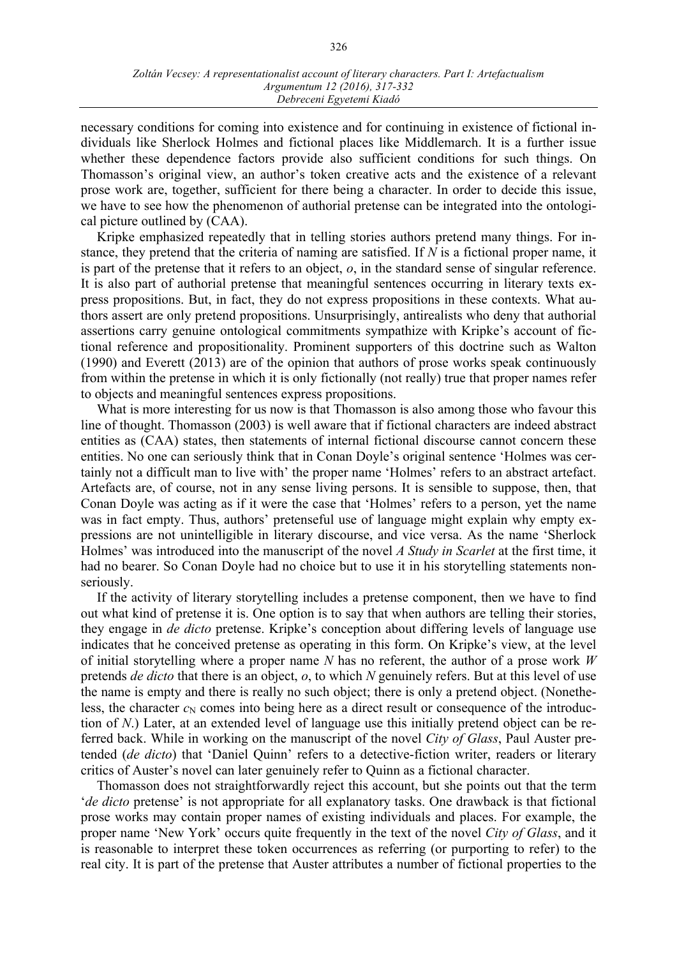necessary conditions for coming into existence and for continuing in existence of fictional individuals like Sherlock Holmes and fictional places like Middlemarch. It is a further issue whether these dependence factors provide also sufficient conditions for such things. On Thomasson's original view, an author's token creative acts and the existence of a relevant prose work are, together, sufficient for there being a character. In order to decide this issue, we have to see how the phenomenon of authorial pretense can be integrated into the ontological picture outlined by (CAA).

Kripke emphasized repeatedly that in telling stories authors pretend many things. For instance, they pretend that the criteria of naming are satisfied. If *N* is a fictional proper name, it is part of the pretense that it refers to an object, *o*, in the standard sense of singular reference. It is also part of authorial pretense that meaningful sentences occurring in literary texts express propositions. But, in fact, they do not express propositions in these contexts. What authors assert are only pretend propositions. Unsurprisingly, antirealists who deny that authorial assertions carry genuine ontological commitments sympathize with Kripke's account of fictional reference and propositionality. Prominent supporters of this doctrine such as Walton (1990) and Everett (2013) are of the opinion that authors of prose works speak continuously from within the pretense in which it is only fictionally (not really) true that proper names refer to objects and meaningful sentences express propositions.

What is more interesting for us now is that Thomasson is also among those who favour this line of thought. Thomasson (2003) is well aware that if fictional characters are indeed abstract entities as (CAA) states, then statements of internal fictional discourse cannot concern these entities. No one can seriously think that in Conan Doyle's original sentence 'Holmes was certainly not a difficult man to live with' the proper name ʻHolmes' refers to an abstract artefact. Artefacts are, of course, not in any sense living persons. It is sensible to suppose, then, that Conan Doyle was acting as if it were the case that ʻHolmes' refers to a person, yet the name was in fact empty. Thus, authors' pretenseful use of language might explain why empty expressions are not unintelligible in literary discourse, and vice versa. As the name ʻSherlock Holmes' was introduced into the manuscript of the novel *A Study in Scarlet* at the first time, it had no bearer. So Conan Doyle had no choice but to use it in his storytelling statements nonseriously.

If the activity of literary storytelling includes a pretense component, then we have to find out what kind of pretense it is. One option is to say that when authors are telling their stories, they engage in *de dicto* pretense. Kripke's conception about differing levels of language use indicates that he conceived pretense as operating in this form. On Kripke's view, at the level of initial storytelling where a proper name *N* has no referent, the author of a prose work *W* pretends *de dicto* that there is an object, *o*, to which *N* genuinely refers. But at this level of use the name is empty and there is really no such object; there is only a pretend object. (Nonetheless, the character  $c_N$  comes into being here as a direct result or consequence of the introduction of *N*.) Later, at an extended level of language use this initially pretend object can be referred back. While in working on the manuscript of the novel *City of Glass*, Paul Auster pretended (*de dicto*) that ʻDaniel Quinn' refers to a detective-fiction writer, readers or literary critics of Auster's novel can later genuinely refer to Quinn as a fictional character.

Thomasson does not straightforwardly reject this account, but she points out that the term *de dicto* pretense' is not appropriate for all explanatory tasks. One drawback is that fictional prose works may contain proper names of existing individuals and places. For example, the proper name ʻNew York' occurs quite frequently in the text of the novel *City of Glass*, and it is reasonable to interpret these token occurrences as referring (or purporting to refer) to the real city. It is part of the pretense that Auster attributes a number of fictional properties to the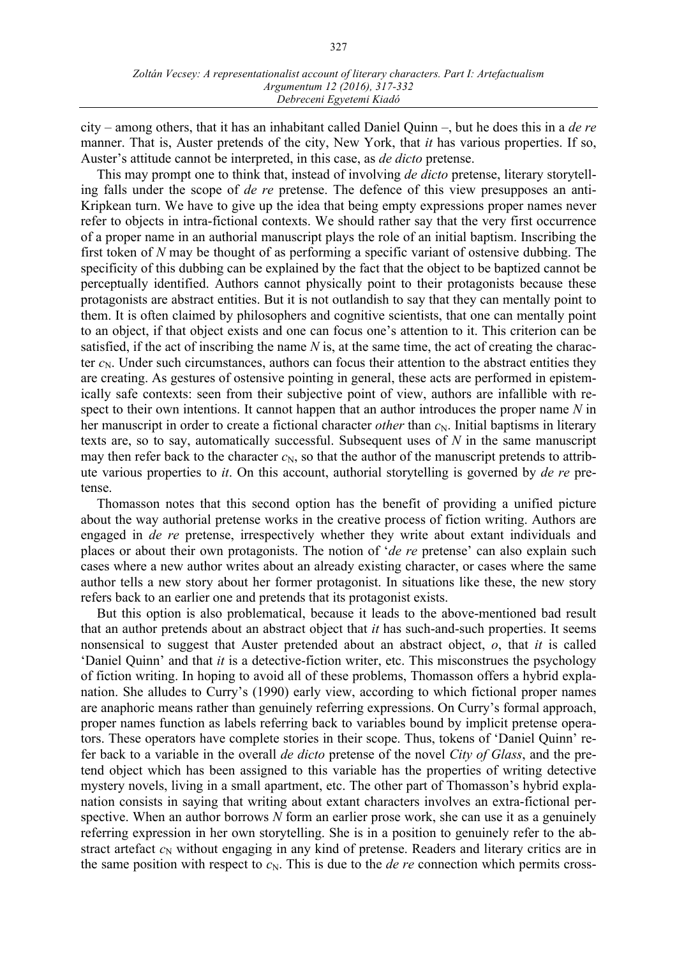city – among others, that it has an inhabitant called Daniel Quinn –, but he does this in a *de re* manner. That is, Auster pretends of the city, New York, that *it* has various properties. If so, Auster's attitude cannot be interpreted, in this case, as *de dicto* pretense.

This may prompt one to think that, instead of involving *de dicto* pretense, literary storytelling falls under the scope of *de re* pretense. The defence of this view presupposes an anti-Kripkean turn. We have to give up the idea that being empty expressions proper names never refer to objects in intra-fictional contexts. We should rather say that the very first occurrence of a proper name in an authorial manuscript plays the role of an initial baptism. Inscribing the first token of *N* may be thought of as performing a specific variant of ostensive dubbing. The specificity of this dubbing can be explained by the fact that the object to be baptized cannot be perceptually identified. Authors cannot physically point to their protagonists because these protagonists are abstract entities. But it is not outlandish to say that they can mentally point to them. It is often claimed by philosophers and cognitive scientists, that one can mentally point to an object, if that object exists and one can focus one's attention to it. This criterion can be satisfied, if the act of inscribing the name *N* is, at the same time, the act of creating the character  $c_N$ . Under such circumstances, authors can focus their attention to the abstract entities they are creating. As gestures of ostensive pointing in general, these acts are performed in epistemically safe contexts: seen from their subjective point of view, authors are infallible with respect to their own intentions. It cannot happen that an author introduces the proper name *N* in her manuscript in order to create a fictional character *other* than  $c_N$ . Initial baptisms in literary texts are, so to say, automatically successful. Subsequent uses of *N* in the same manuscript may then refer back to the character  $c_N$ , so that the author of the manuscript pretends to attribute various properties to *it*. On this account, authorial storytelling is governed by *de re* pretense.

Thomasson notes that this second option has the benefit of providing a unified picture about the way authorial pretense works in the creative process of fiction writing. Authors are engaged in *de re* pretense, irrespectively whether they write about extant individuals and places or about their own protagonists. The notion of ʻ*de re* pretense' can also explain such cases where a new author writes about an already existing character, or cases where the same author tells a new story about her former protagonist. In situations like these, the new story refers back to an earlier one and pretends that its protagonist exists.

But this option is also problematical, because it leads to the above-mentioned bad result that an author pretends about an abstract object that *it* has such-and-such properties. It seems nonsensical to suggest that Auster pretended about an abstract object, *o*, that *it* is called ʻDaniel Quinn' and that *it* is a detective-fiction writer, etc. This misconstrues the psychology of fiction writing. In hoping to avoid all of these problems, Thomasson offers a hybrid explanation. She alludes to Curry's (1990) early view, according to which fictional proper names are anaphoric means rather than genuinely referring expressions. On Curry's formal approach, proper names function as labels referring back to variables bound by implicit pretense operators. These operators have complete stories in their scope. Thus, tokens of ʻDaniel Quinn' refer back to a variable in the overall *de dicto* pretense of the novel *City of Glass*, and the pretend object which has been assigned to this variable has the properties of writing detective mystery novels, living in a small apartment, etc. The other part of Thomasson's hybrid explanation consists in saying that writing about extant characters involves an extra-fictional perspective. When an author borrows N form an earlier prose work, she can use it as a genuinely referring expression in her own storytelling. She is in a position to genuinely refer to the abstract artefact  $c_N$  without engaging in any kind of pretense. Readers and literary critics are in the same position with respect to  $c_N$ . This is due to the *de re* connection which permits cross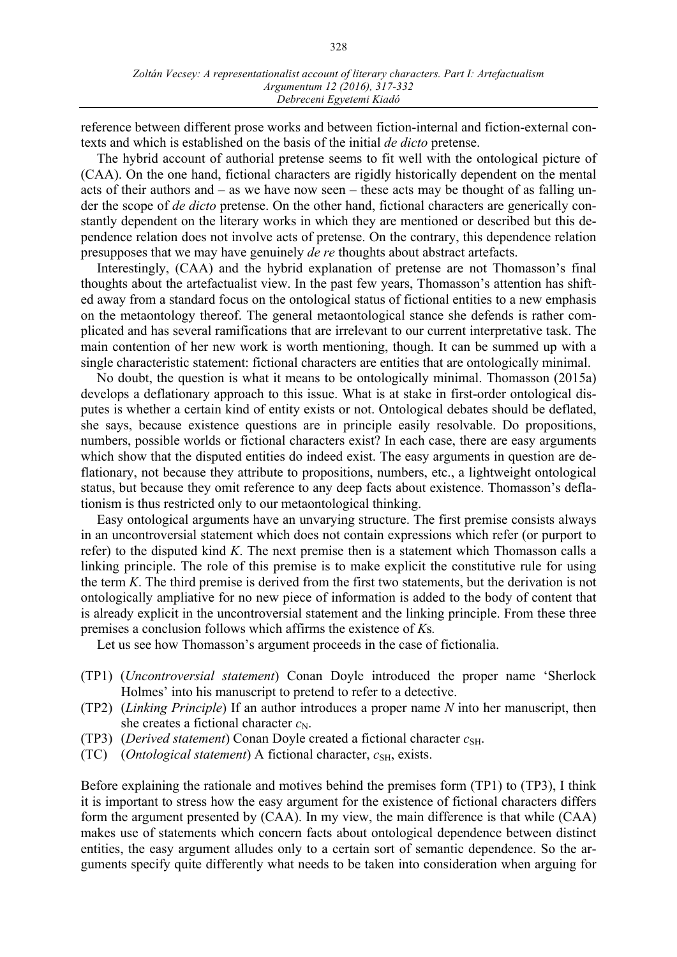reference between different prose works and between fiction-internal and fiction-external contexts and which is established on the basis of the initial *de dicto* pretense.

The hybrid account of authorial pretense seems to fit well with the ontological picture of (CAA). On the one hand, fictional characters are rigidly historically dependent on the mental acts of their authors and – as we have now seen – these acts may be thought of as falling under the scope of *de dicto* pretense. On the other hand, fictional characters are generically constantly dependent on the literary works in which they are mentioned or described but this dependence relation does not involve acts of pretense. On the contrary, this dependence relation presupposes that we may have genuinely *de re* thoughts about abstract artefacts.

Interestingly, (CAA) and the hybrid explanation of pretense are not Thomasson's final thoughts about the artefactualist view. In the past few years, Thomasson's attention has shifted away from a standard focus on the ontological status of fictional entities to a new emphasis on the metaontology thereof. The general metaontological stance she defends is rather complicated and has several ramifications that are irrelevant to our current interpretative task. The main contention of her new work is worth mentioning, though. It can be summed up with a single characteristic statement: fictional characters are entities that are ontologically minimal.

No doubt, the question is what it means to be ontologically minimal. Thomasson (2015a) develops a deflationary approach to this issue. What is at stake in first-order ontological disputes is whether a certain kind of entity exists or not. Ontological debates should be deflated, she says, because existence questions are in principle easily resolvable. Do propositions, numbers, possible worlds or fictional characters exist? In each case, there are easy arguments which show that the disputed entities do indeed exist. The easy arguments in question are deflationary, not because they attribute to propositions, numbers, etc., a lightweight ontological status, but because they omit reference to any deep facts about existence. Thomasson's deflationism is thus restricted only to our metaontological thinking.

Easy ontological arguments have an unvarying structure. The first premise consists always in an uncontroversial statement which does not contain expressions which refer (or purport to refer) to the disputed kind *K*. The next premise then is a statement which Thomasson calls a linking principle. The role of this premise is to make explicit the constitutive rule for using the term *K*. The third premise is derived from the first two statements, but the derivation is not ontologically ampliative for no new piece of information is added to the body of content that is already explicit in the uncontroversial statement and the linking principle. From these three premises a conclusion follows which affirms the existence of *K*s*.*

Let us see how Thomasson's argument proceeds in the case of fictionalia.

- (TP1) (*Uncontroversial statement*) Conan Doyle introduced the proper name ʻSherlock Holmes' into his manuscript to pretend to refer to a detective.
- (TP2) (*Linking Principle*) If an author introduces a proper name *N* into her manuscript, then she creates a fictional character  $c_N$ .
- (TP3) (*Derived statement*) Conan Doyle created a fictional character  $c_{\text{SH}}$ .
- (TC) (*Ontological statement*) A fictional character,  $c_{\text{SH}}$ , exists.

Before explaining the rationale and motives behind the premises form (TP1) to (TP3), I think it is important to stress how the easy argument for the existence of fictional characters differs form the argument presented by (CAA). In my view, the main difference is that while (CAA) makes use of statements which concern facts about ontological dependence between distinct entities, the easy argument alludes only to a certain sort of semantic dependence. So the arguments specify quite differently what needs to be taken into consideration when arguing for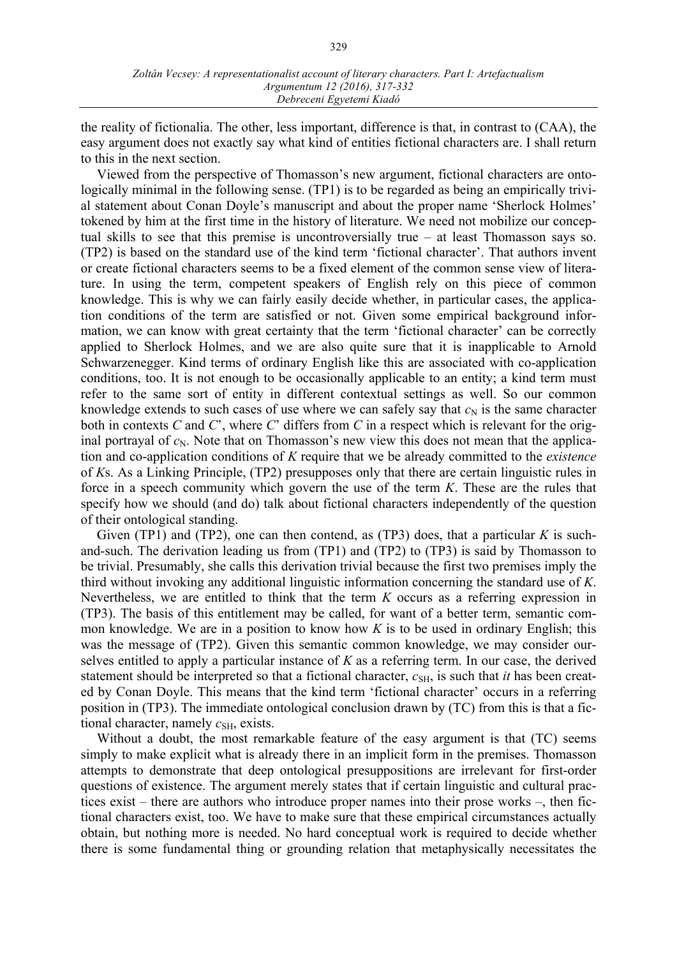the reality of fictionalia. The other, less important, difference is that, in contrast to (CAA), the easy argument does not exactly say what kind of entities fictional characters are. I shall return to this in the next section.

Viewed from the perspective of Thomasson's new argument, fictional characters are ontologically minimal in the following sense. (TP1) is to be regarded as being an empirically trivial statement about Conan Doyle's manuscript and about the proper name ʻSherlock Holmes' tokened by him at the first time in the history of literature. We need not mobilize our conceptual skills to see that this premise is uncontroversially true – at least Thomasson says so. (TP2) is based on the standard use of the kind term ʻfictional character'. That authors invent or create fictional characters seems to be a fixed element of the common sense view of literature. In using the term, competent speakers of English rely on this piece of common knowledge. This is why we can fairly easily decide whether, in particular cases, the application conditions of the term are satisfied or not. Given some empirical background information, we can know with great certainty that the term ʻfictional character' can be correctly applied to Sherlock Holmes, and we are also quite sure that it is inapplicable to Arnold Schwarzenegger. Kind terms of ordinary English like this are associated with co-application conditions, too. It is not enough to be occasionally applicable to an entity; a kind term must refer to the same sort of entity in different contextual settings as well. So our common knowledge extends to such cases of use where we can safely say that  $c_N$  is the same character both in contexts *C* and *C*', where *C*' differs from *C* in a respect which is relevant for the original portrayal of  $c_N$ . Note that on Thomasson's new view this does not mean that the application and co-application conditions of *K* require that we be already committed to the *existence* of *K*s. As a Linking Principle, (TP2) presupposes only that there are certain linguistic rules in force in a speech community which govern the use of the term *K*. These are the rules that specify how we should (and do) talk about fictional characters independently of the question of their ontological standing.

Given (TP1) and (TP2), one can then contend, as (TP3) does, that a particular *K* is suchand-such. The derivation leading us from (TP1) and (TP2) to (TP3) is said by Thomasson to be trivial. Presumably, she calls this derivation trivial because the first two premises imply the third without invoking any additional linguistic information concerning the standard use of *K*. Nevertheless, we are entitled to think that the term *K* occurs as a referring expression in (TP3). The basis of this entitlement may be called, for want of a better term, semantic common knowledge. We are in a position to know how *K* is to be used in ordinary English; this was the message of (TP2). Given this semantic common knowledge, we may consider ourselves entitled to apply a particular instance of *K* as a referring term. In our case, the derived statement should be interpreted so that a fictional character,  $c_{\text{SH}}$ , is such that *it* has been created by Conan Doyle. This means that the kind term ʻfictional character' occurs in a referring position in (TP3). The immediate ontological conclusion drawn by (TC) from this is that a fictional character, namely  $c_{\text{SH}}$ , exists.

Without a doubt, the most remarkable feature of the easy argument is that (TC) seems simply to make explicit what is already there in an implicit form in the premises. Thomasson attempts to demonstrate that deep ontological presuppositions are irrelevant for first-order questions of existence. The argument merely states that if certain linguistic and cultural practices exist – there are authors who introduce proper names into their prose works –, then fictional characters exist, too. We have to make sure that these empirical circumstances actually obtain, but nothing more is needed. No hard conceptual work is required to decide whether there is some fundamental thing or grounding relation that metaphysically necessitates the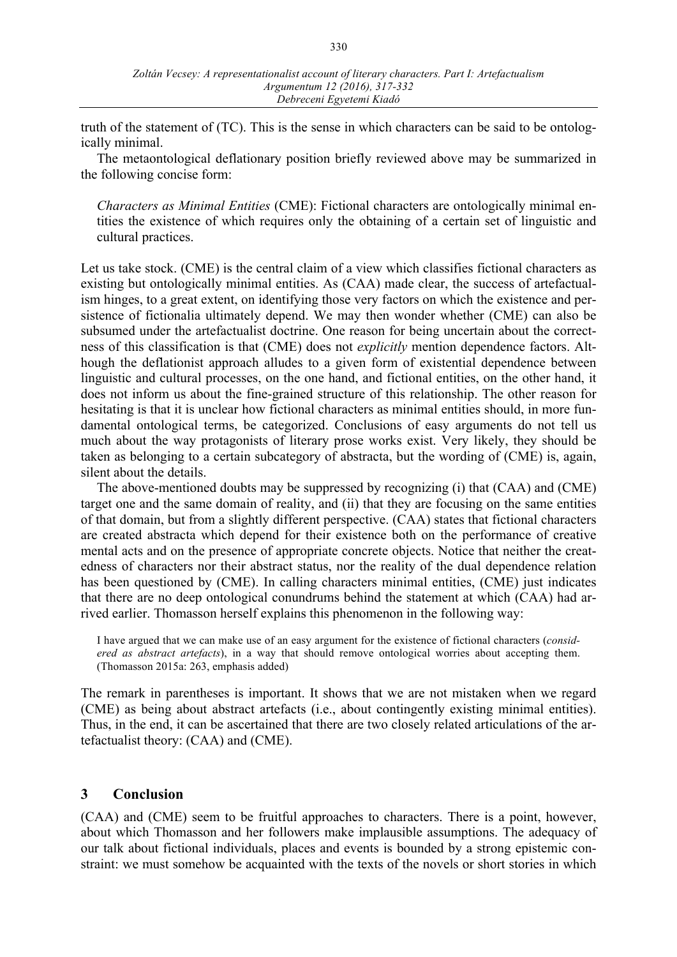truth of the statement of (TC). This is the sense in which characters can be said to be ontologically minimal.

The metaontological deflationary position briefly reviewed above may be summarized in the following concise form:

*Characters as Minimal Entities* (CME): Fictional characters are ontologically minimal entities the existence of which requires only the obtaining of a certain set of linguistic and cultural practices.

Let us take stock. (CME) is the central claim of a view which classifies fictional characters as existing but ontologically minimal entities. As (CAA) made clear, the success of artefactualism hinges, to a great extent, on identifying those very factors on which the existence and persistence of fictionalia ultimately depend. We may then wonder whether (CME) can also be subsumed under the artefactualist doctrine. One reason for being uncertain about the correctness of this classification is that (CME) does not *explicitly* mention dependence factors. Although the deflationist approach alludes to a given form of existential dependence between linguistic and cultural processes, on the one hand, and fictional entities, on the other hand, it does not inform us about the fine-grained structure of this relationship. The other reason for hesitating is that it is unclear how fictional characters as minimal entities should, in more fundamental ontological terms, be categorized. Conclusions of easy arguments do not tell us much about the way protagonists of literary prose works exist. Very likely, they should be taken as belonging to a certain subcategory of abstracta, but the wording of (CME) is, again, silent about the details.

The above-mentioned doubts may be suppressed by recognizing (i) that (CAA) and (CME) target one and the same domain of reality, and (ii) that they are focusing on the same entities of that domain, but from a slightly different perspective. (CAA) states that fictional characters are created abstracta which depend for their existence both on the performance of creative mental acts and on the presence of appropriate concrete objects. Notice that neither the createdness of characters nor their abstract status, nor the reality of the dual dependence relation has been questioned by (CME). In calling characters minimal entities, (CME) just indicates that there are no deep ontological conundrums behind the statement at which (CAA) had arrived earlier. Thomasson herself explains this phenomenon in the following way:

I have argued that we can make use of an easy argument for the existence of fictional characters (*considered as abstract artefacts*), in a way that should remove ontological worries about accepting them. (Thomasson 2015a: 263, emphasis added)

The remark in parentheses is important. It shows that we are not mistaken when we regard (CME) as being about abstract artefacts (i.e., about contingently existing minimal entities). Thus, in the end, it can be ascertained that there are two closely related articulations of the artefactualist theory: (CAA) and (CME).

### **3 Conclusion**

(CAA) and (CME) seem to be fruitful approaches to characters. There is a point, however, about which Thomasson and her followers make implausible assumptions. The adequacy of our talk about fictional individuals, places and events is bounded by a strong epistemic constraint: we must somehow be acquainted with the texts of the novels or short stories in which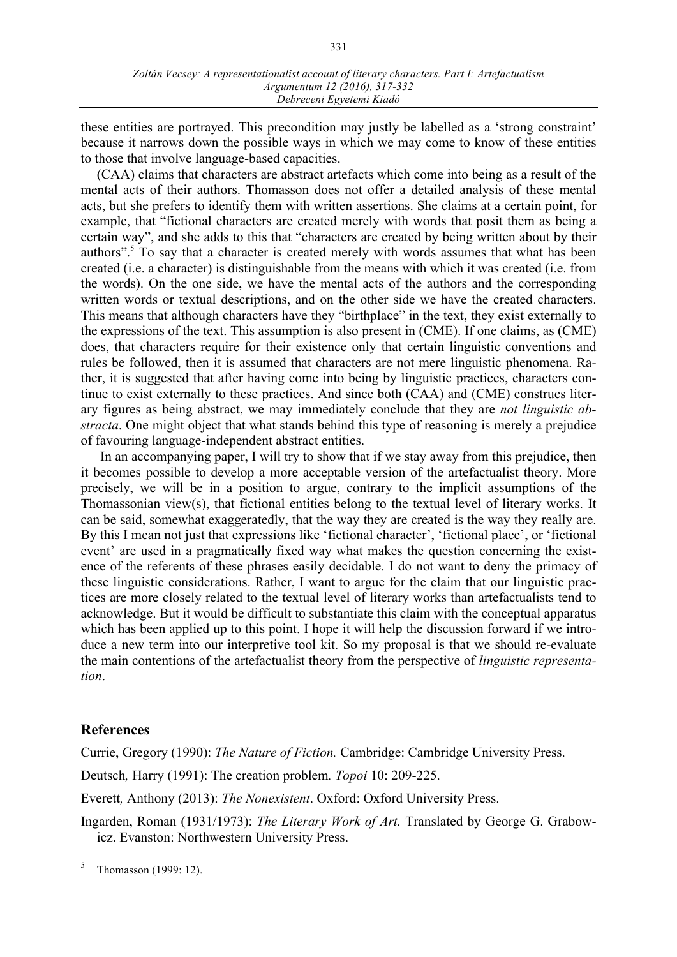these entities are portrayed. This precondition may justly be labelled as a ʻstrong constraint' because it narrows down the possible ways in which we may come to know of these entities to those that involve language-based capacities.

(CAA) claims that characters are abstract artefacts which come into being as a result of the mental acts of their authors. Thomasson does not offer a detailed analysis of these mental acts, but she prefers to identify them with written assertions. She claims at a certain point, for example, that "fictional characters are created merely with words that posit them as being a certain way", and she adds to this that "characters are created by being written about by their authors".<sup>5</sup> To say that a character is created merely with words assumes that what has been created (i.e. a character) is distinguishable from the means with which it was created (i.e. from the words). On the one side, we have the mental acts of the authors and the corresponding written words or textual descriptions, and on the other side we have the created characters. This means that although characters have they "birthplace" in the text, they exist externally to the expressions of the text. This assumption is also present in (CME). If one claims, as (CME) does, that characters require for their existence only that certain linguistic conventions and rules be followed, then it is assumed that characters are not mere linguistic phenomena. Rather, it is suggested that after having come into being by linguistic practices, characters continue to exist externally to these practices. And since both (CAA) and (CME) construes literary figures as being abstract, we may immediately conclude that they are *not linguistic abstracta*. One might object that what stands behind this type of reasoning is merely a prejudice of favouring language-independent abstract entities.

In an accompanying paper, I will try to show that if we stay away from this prejudice, then it becomes possible to develop a more acceptable version of the artefactualist theory. More precisely, we will be in a position to argue, contrary to the implicit assumptions of the Thomassonian view(s), that fictional entities belong to the textual level of literary works. It can be said, somewhat exaggeratedly, that the way they are created is the way they really are. By this I mean not just that expressions like ʻfictional character', ʻfictional place', or ʻfictional event' are used in a pragmatically fixed way what makes the question concerning the existence of the referents of these phrases easily decidable. I do not want to deny the primacy of these linguistic considerations. Rather, I want to argue for the claim that our linguistic practices are more closely related to the textual level of literary works than artefactualists tend to acknowledge. But it would be difficult to substantiate this claim with the conceptual apparatus which has been applied up to this point. I hope it will help the discussion forward if we introduce a new term into our interpretive tool kit. So my proposal is that we should re-evaluate the main contentions of the artefactualist theory from the perspective of *linguistic representation*.

## **References**

Currie, Gregory (1990): *The Nature of Fiction.* Cambridge: Cambridge University Press.

Deutsch*,* Harry (1991): The creation problem*. Topoi* 10: 209-225.

Everett*,* Anthony (2013): *The Nonexistent*. Oxford: Oxford University Press.

Ingarden, Roman (1931/1973): *The Literary Work of Art.* Translated by George G. Grabowicz. Evanston: Northwestern University Press.

 $5$  Thomasson (1999: 12).